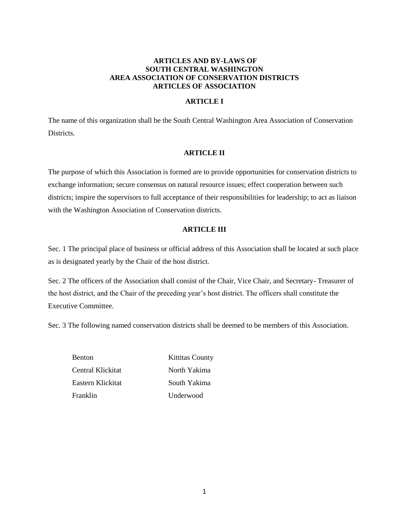# **ARTICLES AND BY-LAWS OF SOUTH CENTRAL WASHINGTON AREA ASSOCIATION OF CONSERVATION DISTRICTS ARTICLES OF ASSOCIATION**

# **ARTICLE I**

The name of this organization shall be the South Central Washington Area Association of Conservation Districts.

# **ARTICLE II**

The purpose of which this Association is formed are to provide opportunities for conservation districts to exchange information; secure consensus on natural resource issues; effect cooperation between such districts; inspire the supervisors to full acceptance of their responsibilities for leadership; to act as liaison with the Washington Association of Conservation districts.

# **ARTICLE III**

Sec. 1 The principal place of business or official address of this Association shall be located at such place as is designated yearly by the Chair of the host district.

Sec. 2 The officers of the Association shall consist of the Chair, Vice Chair, and Secretary- Treasurer of the host district, and the Chair of the preceding year's host district. The officers shall constitute the Executive Committee.

Sec. 3 The following named conservation districts shall be deemed to be members of this Association.

Benton Kittitas County Central Klickitat North Yakima Eastern Klickitat South Yakima Franklin Underwood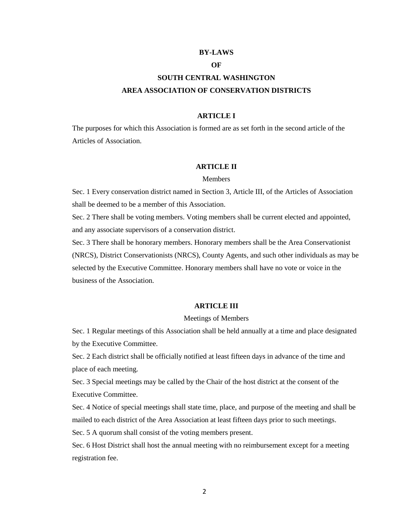#### **BY-LAWS**

## **OF**

# **SOUTH CENTRAL WASHINGTON AREA ASSOCIATION OF CONSERVATION DISTRICTS**

# **ARTICLE I**

The purposes for which this Association is formed are as set forth in the second article of the Articles of Association.

# **ARTICLE II**

#### **Members**

Sec. 1 Every conservation district named in Section 3, Article III, of the Articles of Association shall be deemed to be a member of this Association.

Sec. 2 There shall be voting members. Voting members shall be current elected and appointed, and any associate supervisors of a conservation district.

Sec. 3 There shall be honorary members. Honorary members shall be the Area Conservationist (NRCS), District Conservationists (NRCS), County Agents, and such other individuals as may be selected by the Executive Committee. Honorary members shall have no vote or voice in the business of the Association.

# **ARTICLE III**

#### Meetings of Members

Sec. 1 Regular meetings of this Association shall be held annually at a time and place designated by the Executive Committee.

Sec. 2 Each district shall be officially notified at least fifteen days in advance of the time and place of each meeting.

Sec. 3 Special meetings may be called by the Chair of the host district at the consent of the Executive Committee.

Sec. 4 Notice of special meetings shall state time, place, and purpose of the meeting and shall be mailed to each district of the Area Association at least fifteen days prior to such meetings.

Sec. 5 A quorum shall consist of the voting members present.

Sec. 6 Host District shall host the annual meeting with no reimbursement except for a meeting registration fee.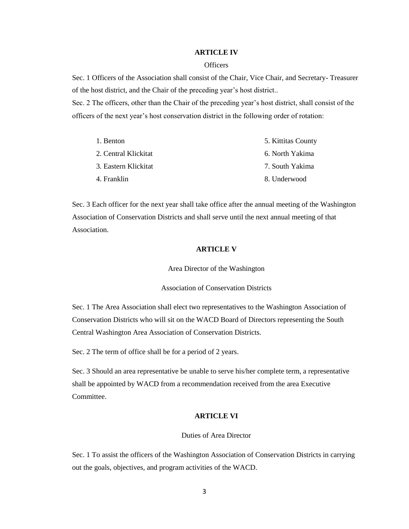#### **ARTICLE IV**

## **Officers**

Sec. 1 Officers of the Association shall consist of the Chair, Vice Chair, and Secretary- Treasurer of the host district, and the Chair of the preceding year's host district..

Sec. 2 The officers, other than the Chair of the preceding year's host district, shall consist of the officers of the next year's host conservation district in the following order of rotation:

| 1. Benton            | 5. Kittitas County |
|----------------------|--------------------|
| 2. Central Klickitat | 6. North Yakima    |
| 3. Eastern Klickitat | 7. South Yakima    |
| 4. Franklin          | 8. Underwood       |

Sec. 3 Each officer for the next year shall take office after the annual meeting of the Washington Association of Conservation Districts and shall serve until the next annual meeting of that Association.

## **ARTICLE V**

Area Director of the Washington

Association of Conservation Districts

Sec. 1 The Area Association shall elect two representatives to the Washington Association of Conservation Districts who will sit on the WACD Board of Directors representing the South Central Washington Area Association of Conservation Districts.

Sec. 2 The term of office shall be for a period of 2 years.

Sec. 3 Should an area representative be unable to serve his/her complete term, a representative shall be appointed by WACD from a recommendation received from the area Executive Committee.

# **ARTICLE VI**

## Duties of Area Director

Sec. 1 To assist the officers of the Washington Association of Conservation Districts in carrying out the goals, objectives, and program activities of the WACD.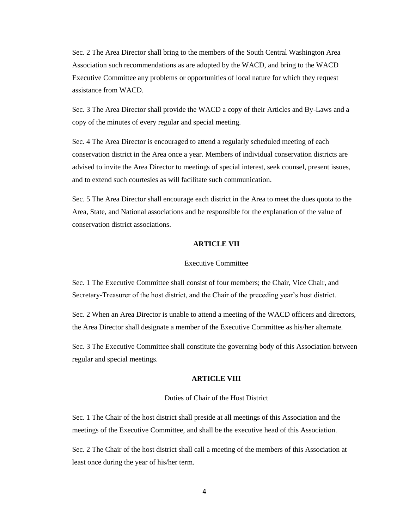Sec. 2 The Area Director shall bring to the members of the South Central Washington Area Association such recommendations as are adopted by the WACD, and bring to the WACD Executive Committee any problems or opportunities of local nature for which they request assistance from WACD.

Sec. 3 The Area Director shall provide the WACD a copy of their Articles and By-Laws and a copy of the minutes of every regular and special meeting.

Sec. 4 The Area Director is encouraged to attend a regularly scheduled meeting of each conservation district in the Area once a year. Members of individual conservation districts are advised to invite the Area Director to meetings of special interest, seek counsel, present issues, and to extend such courtesies as will facilitate such communication.

Sec. 5 The Area Director shall encourage each district in the Area to meet the dues quota to the Area, State, and National associations and be responsible for the explanation of the value of conservation district associations.

## **ARTICLE VII**

#### Executive Committee

Sec. 1 The Executive Committee shall consist of four members; the Chair, Vice Chair, and Secretary-Treasurer of the host district, and the Chair of the preceding year's host district.

Sec. 2 When an Area Director is unable to attend a meeting of the WACD officers and directors, the Area Director shall designate a member of the Executive Committee as his/her alternate.

Sec. 3 The Executive Committee shall constitute the governing body of this Association between regular and special meetings.

# **ARTICLE VIII**

# Duties of Chair of the Host District

Sec. 1 The Chair of the host district shall preside at all meetings of this Association and the meetings of the Executive Committee, and shall be the executive head of this Association.

Sec. 2 The Chair of the host district shall call a meeting of the members of this Association at least once during the year of his/her term.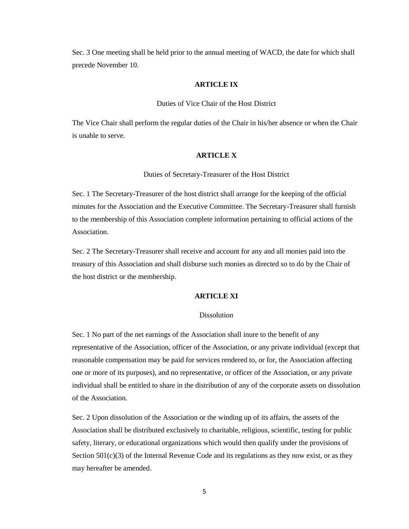Sec. 3 One meeting shall be held prior to the annual meeting of WACD, the date for which shall precede November 10.

# **ARTICLE IX**

## Duties of Vice Chair of the Host District

The Vice Chair shall perform the regular duties of the Chair in his/her absence or when the Chair is unable to serve.

#### **ARTICLE X**

Duties of Secretary-Treasurer of the Host District

Sec. 1 The Secretary-Treasurer of the host district shall arrange for the keeping of the official minutes for the Association and the Executive Committee. The Secretary-Treasurer shall furnish to the membership of this Association complete information pertaining to official actions of the Association.

Sec. 2 The Secretary-Treasurer shall receive and account for any and all monies paid into the treasury of this Association and shall disburse such monies as directed so to do by the Chair of the host district or the membership.

# **ARTICLE XI**

#### Dissolution

Sec. 1 No part of the net earnings of the Association shall inure to the benefit of any representative of the Association, officer of the Association, or any private individual (except that reasonable compensation may be paid for services rendered to, or for, the Association affecting one or more of its purposes), and no representative, or officer of the Association, or any private individual shall be entitled to share in the distribution of any of the corporate assets on dissolution of the Association.

Sec. 2 Upon dissolution of the Association or the winding up of its affairs, the assets of the Association shall be distributed exclusively to charitable, religious, scientific, testing for public safety, literary, or educational organizations which would then qualify under the provisions of Section 501(c)(3) of the Internal Revenue Code and its regulations as they now exist, or as they may hereafter be amended.